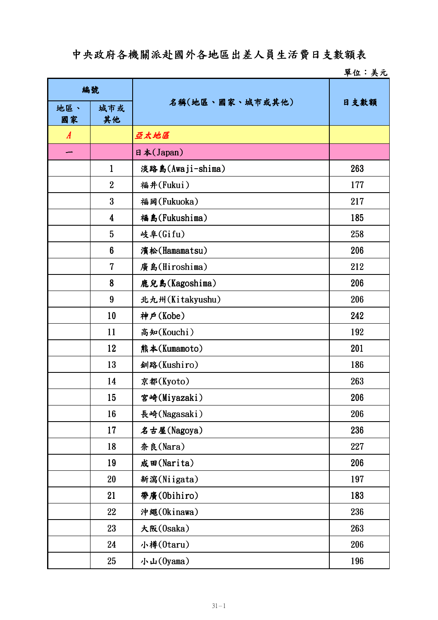## 中央政府各機關派赴國外各地區出差人員生活費日支數額表

## 單位:美元

| 編號               |                |                  |      |
|------------------|----------------|------------------|------|
| 地區、<br>國家        | 城市或<br>其他      | 名稱(地區、國家、城市或其他)  | 日支數額 |
| $\boldsymbol{A}$ |                | 亞太地區             |      |
|                  |                | 日本(Japan)        |      |
|                  | $\mathbf{1}$   | 淡路島(Awaji-shima) | 263  |
|                  | $\overline{2}$ | 福井(Fukui)        | 177  |
|                  | 3              | 福岡(Fukuoka)      | 217  |
|                  | 4              | 福島(Fukushima)    | 185  |
|                  | 5              | 岐阜(Gifu)         | 258  |
|                  | 6              | 濱松(Hamamatsu)    | 206  |
|                  | 7              | 廣島(Hiroshima)    | 212  |
|                  | 8              | 鹿兒島(Kagoshima)   | 206  |
|                  | 9              | 北九州(Kitakyushu)  | 206  |
|                  | 10             | 神戶(Kobe)         | 242  |
|                  | 11             | 高知(Kouchi)       | 192  |
|                  | 12             | 熊本(Kumamoto)     | 201  |
|                  | 13             | 釧路(Kushiro)      | 186  |
|                  | 14             | 京都(Kyoto)        | 263  |
|                  | 15             | 宮崎(Miyazaki)     | 206  |
|                  | 16             | 長崎(Nagasaki)     | 206  |
|                  | 17             | 名古屋(Nagoya)      | 236  |
|                  | 18             | 奈良(Nara)         | 227  |
|                  | 19             | 成田(Narita)       | 206  |
|                  | 20             | 新瀉(Niigata)      | 197  |
|                  | 21             | 帶廣(Obihiro)      | 183  |
|                  | 22             | 沖繩(Okinawa)      | 236  |
|                  | 23             | 大阪(Osaka)        | 263  |
|                  | 24             | 小樽(0taru)        | 206  |
|                  | 25             | 小山(Oyama)        | 196  |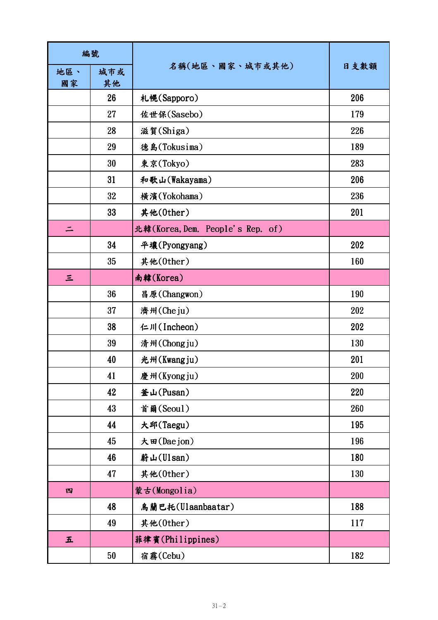| 編號        |           |                                  |      |
|-----------|-----------|----------------------------------|------|
| 地區、<br>國家 | 城市或<br>其他 | 名稱(地區、國家、城市或其他)                  | 日支數額 |
|           | 26        | 札幌(Sapporo)                      | 206  |
|           | 27        | 佐世保(Sasebo)                      | 179  |
|           | 28        | 滋賀(Shiga)                        | 226  |
|           | 29        | 德島(Tokusima)                     | 189  |
|           | 30        | 東京(Tokyo)                        | 283  |
|           | 31        | 和歌山(Wakayama)                    | 206  |
|           | 32        | 橫濱(Yokohama)                     | 236  |
|           | 33        | 其他(0ther)                        | 201  |
| ⋍         |           | 北韓(Korea, Dem. People's Rep. of) |      |
|           | 34        | 平壤(Pyongyang)                    | 202  |
|           | 35        | 其他(0ther)                        | 160  |
| Ξ         |           | 南韓(Korea)                        |      |
|           | 36        | 昌原(Changwon)                     | 190  |
|           | 37        | 濟州(Cheju)                        | 202  |
|           | 38        | 仁川(Incheon)                      | 202  |
|           | 39        | 清州(Chongju)                      | 130  |
|           | 40        | 光州(Kwangju)                      | 201  |
|           | 41        | 慶州(Kyongju)                      | 200  |
|           | 42        | 釜山(Pusan)                        | 220  |
|           | 43        | 首爾(Seoul)                        | 260  |
|           | 44        | 大邱(Taegu)                        | 195  |
|           | 45        | 大田(Daejon)                       | 196  |
|           | 46        | 蔚山(Ulsan)                        | 180  |
|           | 47        | 其他(0ther)                        | 130  |
| 四         |           | 蒙古(Mongolia)                     |      |
|           | 48        | 鳥蘭巴托(Ulaanbaatar)                | 188  |
|           | 49        | 其他(0ther)                        | 117  |
| 五         |           | 菲律賓(Philippines)                 |      |
|           | 50        | 宿霧(Cebu)                         | 182  |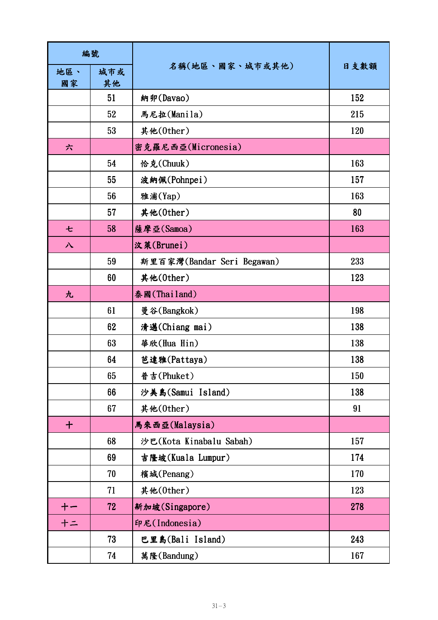| 編號          |           |                            |      |
|-------------|-----------|----------------------------|------|
| 地區、<br>國家   | 城市或<br>其他 | 名稱(地區、國家、城市或其他)            | 日支數額 |
|             | 51        | 納卯(Davao)                  | 152  |
|             | 52        | 馬尼拉(Manila)                | 215  |
|             | 53        | 其他(0ther)                  | 120  |
| 六           |           | 密克羅尼西亞(Micronesia)         |      |
|             | 54        | 恰克(Chuuk)                  | 163  |
|             | 55        | 波納佩(Pohnpei)               | 157  |
|             | 56        | 雅浦(Yap)                    | 163  |
|             | 57        | 其他(0ther)                  | 80   |
| セ           | 58        | 薩摩亞(Samoa)                 | 163  |
| 八           |           | 汶萊(Brunei)                 |      |
|             | 59        | 斯里百家灣(Bandar Seri Begawan) | 233  |
|             | 60        | 其他(0ther)                  | 123  |
| 九           |           | 泰國(Thailand)               |      |
|             | 61        | 曼谷(Bangkok)                | 198  |
|             | 62        | 清邁(Chiang mai)             | 138  |
|             | 63        | 華欣(Hua Hin)                | 138  |
|             | 64        | 芭達雅(Pattaya)               | 138  |
|             | 65        | 普吉(Phuket)                 | 150  |
|             | 66        | 沙美島(Samui Island)          | 138  |
|             | 67        | 其他(0ther)                  | 91   |
| $\mathbf +$ |           | 馬來西亞(Malaysia)             |      |
|             | 68        | 沙巴(Kota Kinabalu Sabah)    | 157  |
|             | 69        | 吉隆坡(Kuala Lumpur)          | 174  |
|             | 70        | 檳城(Penang)                 | 170  |
|             | 71        | 其他(0ther)                  | 123  |
| $+-$        | 72        | 新加坡(Singapore)             | 278  |
| $+ =$       |           | 印尼(Indonesia)              |      |
|             | 73        | 巴里島(Bali Island)           | 243  |
|             | 74        | 萬隆(Bandung)                | 167  |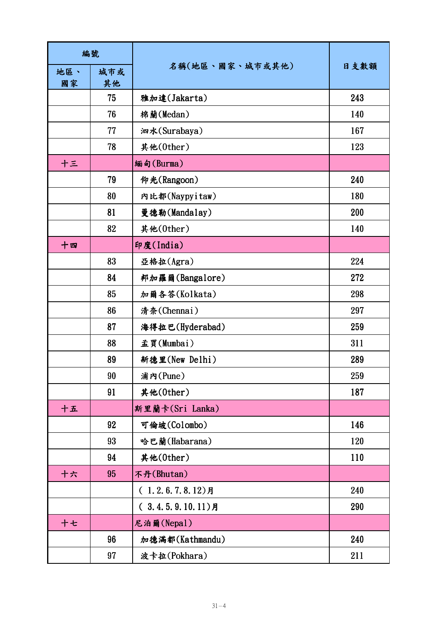| 編號        |           |                     |      |
|-----------|-----------|---------------------|------|
| 地區、<br>國家 | 城市或<br>其他 | 名稱(地區、國家、城市或其他)     | 日支數額 |
|           | 75        | 雅加達(Jakarta)        | 243  |
|           | 76        | 棉蘭(Medan)           | 140  |
|           | 77        | 泗水(Surabaya)        | 167  |
|           | 78        | 其他(0ther)           | 123  |
| 十三        |           | 緬甸(Burma)           |      |
|           | 79        | 仰光(Rangoon)         | 240  |
|           | 80        | 内比都(Naypyitaw)      | 180  |
|           | 81        | 曼德勒(Mandalay)       | 200  |
|           | 82        | 其他(0ther)           | 140  |
| 十四        |           | 印度(India)           |      |
|           | 83        | 亞格拉(Agra)           | 224  |
|           | 84        | 邦加羅爾(Bangalore)     | 272  |
|           | 85        | 加爾各答(Kolkata)       | 298  |
|           | 86        | 清奈(Chennai)         | 297  |
|           | 87        | 海得拉巴(Hyderabad)     | 259  |
|           | 88        | 孟買(Mumbai)          | 311  |
|           | 89        | 新德里(New Delhi)      | 289  |
|           | 90        | 浦内(Pune)            | 259  |
|           | 91        | 其他(0ther)           | 187  |
| 十五        |           | 斯里蘭卡(Sri Lanka)     |      |
|           | 92        | 可倫坡(Colombo)        | 146  |
|           | 93        | 哈巴蘭(Habarana)       | 120  |
|           | 94        | 其他(0ther)           | 110  |
| 十六        | 95        | 不丹(Bhutan)          |      |
|           |           | $(1.2.6.7.8.12)$ 月  | 240  |
|           |           | $(3.4.5.9.10.11)$ 月 | 290  |
| 十七        |           | 尼泊爾(Nepal)          |      |
|           | 96        | 加德滿都(Kathmandu)     | 240  |
|           | 97        | 波卡拉(Pokhara)        | 211  |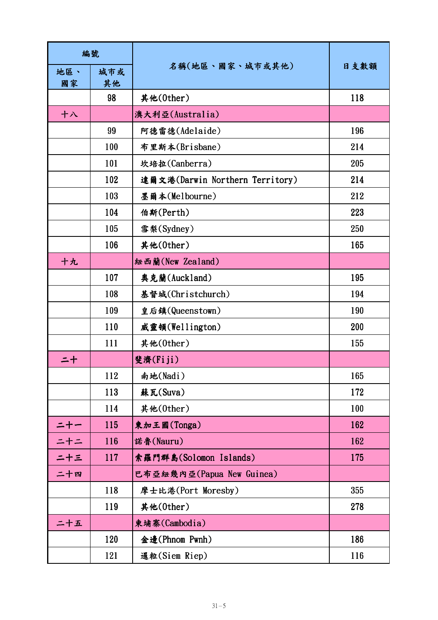| 編號        |           |                                 |      |
|-----------|-----------|---------------------------------|------|
| 地區、<br>國家 | 城市或<br>其他 | 名稱(地區、國家、城市或其他)                 | 日支數額 |
|           | 98        | 其他(0ther)                       | 118  |
| 十八        |           | 澳大利亞(Australia)                 |      |
|           | 99        | 阿德雷德(Adelaide)                  | 196  |
|           | 100       | 布里斯本(Brisbane)                  | 214  |
|           | 101       | 坎培拉(Canberra)                   | 205  |
|           | 102       | 達爾文港(Darwin Northern Territory) | 214  |
|           | 103       | 墨爾本(Melbourne)                  | 212  |
|           | 104       | 伯斯(Perth)                       | 223  |
|           | 105       | 雪梨(Sydney)                      | 250  |
|           | 106       | 其他(0ther)                       | 165  |
| 十九        |           | 紐西蘭(New Zealand)                |      |
|           | 107       | 奥克蘭(Auckland)                   | 195  |
|           | 108       | 基督城(Christchurch)               | 194  |
|           | 109       | 皇后鎮(Queenstown)                 | 190  |
|           | 110       | 威靈頓(Wellington)                 | 200  |
|           | 111       | 其他(0ther)                       | 155  |
| 二十        |           | 斐濟(Fiji)                        |      |
|           | 112       | 南地(Nadi)                        | 165  |
|           | 113       | 蘇瓦(Suva)                        | 172  |
|           | 114       | 其他(0ther)                       | 100  |
| $= + -$   | 115       | 東加王國(Tonga)                     | 162  |
| 二十二       | 116       | 諾魯(Nauru)                       | 162  |
| ニ十三       | 117       | 索羅門群島(Solomon Islands)          | 175  |
| 二十四       |           | 巴布亞紐幾內亞(Papua New Guinea)       |      |
|           | 118       | 摩士比港(Port Moresby)              | 355  |
|           | 119       | 其他(0ther)                       | 278  |
| 二十五       |           | 柬埔寨(Cambodia)                   |      |
|           | 120       | 金邊(Phnom Pwnh)                  | 186  |
|           | 121       | 暹粒(Siem Riep)                   | 116  |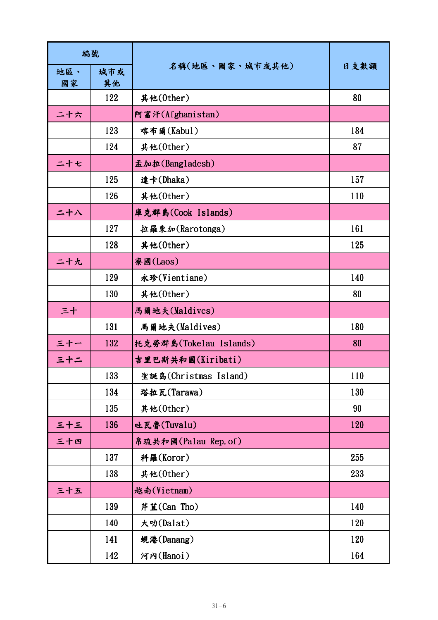| 編號  |     |                        |      |
|-----|-----|------------------------|------|
| 地區、 | 城市或 | 名稱(地區、國家、城市或其他)        | 日支數額 |
| 國家  | 其他  |                        |      |
|     | 122 | 其他(0ther)              | 80   |
| 二十六 |     | 阿富汗(Afghanistan)       |      |
|     | 123 | 喀布爾(Kabul)             | 184  |
|     | 124 | 其他(0ther)              | 87   |
| ニ十セ |     | 孟加拉(Bangladesh)        |      |
|     | 125 | 達卡(Dhaka)              | 157  |
|     | 126 | 其他(0ther)              | 110  |
| 二十八 |     | 庫克群島(Cook Islands)     |      |
|     | 127 | 拉羅東加(Rarotonga)        | 161  |
|     | 128 | 其他(0ther)              | 125  |
| 二十九 |     | 寮國(Laos)               |      |
|     | 129 | 永珍(Vientiane)          | 140  |
|     | 130 | 其他(0ther)              | 80   |
| 三十  |     | 馬爾地夫(Maldives)         |      |
|     | 131 | 馬爾地夫(Maldives)         | 180  |
| 三十一 | 132 | 托克勞群島(Tokelau Islands) | 80   |
| 三十二 |     | 吉里巴斯共和國(Kiribati)      |      |
|     | 133 | 聖誕島(Christmas Island)  | 110  |
|     | 134 | 塔拉瓦(Tarawa)            | 130  |
|     | 135 | 其他(0ther)              | 90   |
| 三十三 | 136 | 吐瓦魯(Tuvalu)            | 120  |
| 三十四 |     | 帛琉共和國(Palau Rep. of)   |      |
|     | 137 | 科羅(Koror)              | 255  |
|     | 138 | 其他(0ther)              | 233  |
| 三十五 |     | 越南(Vietnam)            |      |
|     | 139 | 芹苴(Can Tho)            | 140  |
|     | 140 | 大叻(Dalat)              | 120  |
|     | 141 | 蜆港(Danang)             | 120  |
|     | 142 | 河内(Hanoi)              | 164  |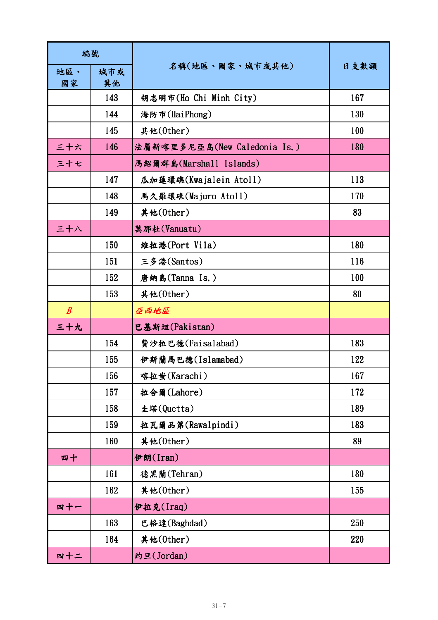| 編號               |           |                              |      |
|------------------|-----------|------------------------------|------|
| 地區、<br>國家        | 城市或<br>其他 | 名稱(地區、國家、城市或其他)              | 日支數額 |
|                  | 143       | 胡志明市(Ho Chi Minh City)       | 167  |
|                  | 144       | 海防市(HaiPhong)                | 130  |
|                  | 145       | 其他(0ther)                    | 100  |
| 三十六              | 146       | 法屬新喀里多尼亞島(New Caledonia Is.) | 180  |
| 三十七              |           | 馬紹爾群島(Marshall Islands)      |      |
|                  | 147       | 瓜加蓮環礁(Kwajalein Atoll)       | 113  |
|                  | 148       | 馬久羅環礁(Majuro Atoll)          | 170  |
|                  | 149       | 其他(0ther)                    | 83   |
| 三十八              |           | 萬那杜(Vanuatu)                 |      |
|                  | 150       | 維拉港(Port Vila)               | 180  |
|                  | 151       | 三多港(Santos)                  | 116  |
|                  | 152       | 唐納島(Tanna Is.)               | 100  |
|                  | 153       | 其他(0ther)                    | 80   |
| $\boldsymbol{B}$ |           | 亞西地區                         |      |
| 三十九              |           | 巴基斯坦(Pakistan)               |      |
|                  | 154       | 費沙拉巴德(Faisalabad)            | 183  |
|                  | 155       | 伊斯蘭馬巴德(Islamabad)            | 122  |
|                  | 156       | 喀拉蚩(Karachi)                 | 167  |
|                  | 157       | 拉合爾(Lahore)                  | 172  |
|                  | 158       | 圭塔(Quetta)                   | 189  |
|                  | 159       | 拉瓦爾品第(Rawalpindi)            | 183  |
|                  | 160       | 其他(0ther)                    | 89   |
| 四十               |           | 伊朗(Iran)                     |      |
|                  | 161       | 德黑蘭(Tehran)                  | 180  |
|                  | 162       | 其他(0ther)                    | 155  |
| 四十一              |           | 伊拉克(Iraq)                    |      |
|                  | 163       | 巴格達(Baghdad)                 | 250  |
|                  | 164       | 其他(0ther)                    | 220  |
| 四十二              |           | 約旦(Jordan)                   |      |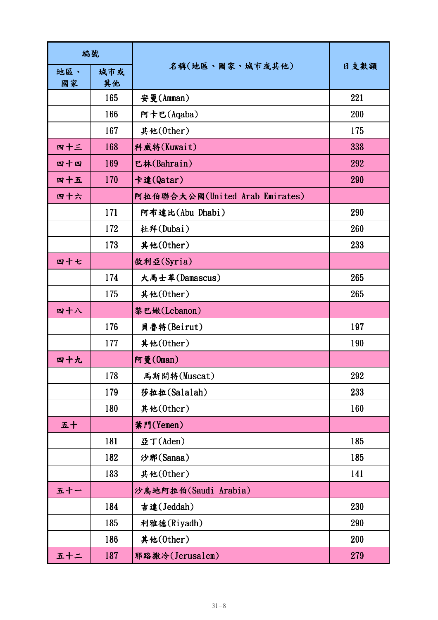| 編號        |           |                                |      |
|-----------|-----------|--------------------------------|------|
| 地區、<br>國家 | 城市或<br>其他 | 名稱(地區、國家、城市或其他)                | 日支數額 |
|           | 165       | 安曼(Amman)                      | 221  |
|           | 166       | 阿卡巴(Aqaba)                     | 200  |
|           | 167       | 其他(0ther)                      | 175  |
| 四十三       | 168       | 科威特(Kuwait)                    | 338  |
| 四十四       | 169       | 巴林(Bahrain)                    | 292  |
| 四十五       | 170       | 卡達(Qatar)                      | 290  |
| 四十六       |           | 阿拉伯聯合大公國(United Arab Emirates) |      |
|           | 171       | 阿布達比(Abu Dhabi)                | 290  |
|           | 172       | 杜拜(Dubai)                      | 260  |
|           | 173       | 其他(0ther)                      | 233  |
| 四十七       |           | 敘利亞(Syria)                     |      |
|           | 174       | 大馬士革(Damascus)                 | 265  |
|           | 175       | 其他(0ther)                      | 265  |
| 四十八       |           | 黎巴嫩(Lebanon)                   |      |
|           | 176       | 貝魯特(Beirut)                    | 197  |
|           | 177       | 其他(0ther)                      | 190  |
| 四十九       |           | 阿曼(0man)                       |      |
|           | 178       | 馬斯開特(Muscat)                   | 292  |
|           | 179       | 莎拉拉(Salalah)                   | 233  |
|           | 180       | 其他(0ther)                      | 160  |
| 五十        |           | 葉門(Yemen)                      |      |
|           | 181       | 亞丁(Aden)                       | 185  |
|           | 182       | 沙那(Sanaa)                      | 185  |
|           | 183       | 其他(0ther)                      | 141  |
| 五十一       |           | 沙烏地阿拉伯(Saudi Arabia)           |      |
|           | 184       | 吉達(Jeddah)                     | 230  |
|           | 185       | 利雅德(Riyadh)                    | 290  |
|           | 186       | 其他(0ther)                      | 200  |
| 五十二       | 187       | 耶路撒冷(Jerusalem)                | 279  |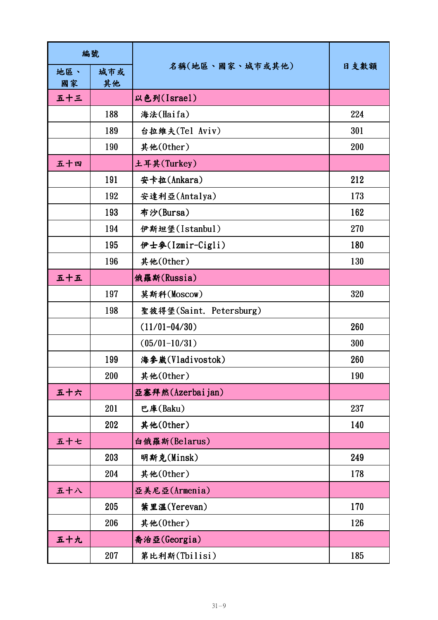| 編號        |           |                         |      |
|-----------|-----------|-------------------------|------|
| 地區、<br>國家 | 城市或<br>其他 | 名稱(地區、國家、城市或其他)         | 日支數額 |
| 五十三       |           | 以色列(Israel)             |      |
|           | 188       | 海法(Haifa)               | 224  |
|           | 189       | 台拉維夫(Tel Aviv)          | 301  |
|           | 190       | 其他(0ther)               | 200  |
| 五十四       |           | 土耳其(Turkey)             |      |
|           | 191       | 安卡拉(Ankara)             | 212  |
|           | 192       | 安達利亞(Antalya)           | 173  |
|           | 193       | 布沙(Bursa)               | 162  |
|           | 194       | 伊斯坦堡(Istanbul)          | 270  |
|           | 195       | 伊士參(Izmir-Cigli)        | 180  |
|           | 196       | 其他(0ther)               | 130  |
| 五十五       |           | 俄羅斯(Russia)             |      |
|           | 197       | 莫斯科(Moscow)             | 320  |
|           | 198       | 聖彼得堡(Saint. Petersburg) |      |
|           |           | $(11/01 - 04/30)$       | 260  |
|           |           | $(05/01 - 10/31)$       | 300  |
|           | 199       | 海参崴(Vladivostok)        | 260  |
|           | 200       | 其他(0ther)               | 190  |
| 五十六       |           | 亞塞拜然(Azerbai jan)       |      |
|           | 201       | 巴庫(Baku)                | 237  |
|           | 202       | 其他(0ther)               | 140  |
| 五十七       |           | 白俄羅斯(Belarus)           |      |
|           | 203       | 明斯克(Minsk)              | 249  |
|           | 204       | 其他(0ther)               | 178  |
| 五十八       |           | 亞美尼亞(Armenia)           |      |
|           | 205       | 葉里溫(Yerevan)            | 170  |
|           | 206       | 其他(0ther)               | 126  |
| 五十九       |           | 喬治亞(Georgia)            |      |
|           | 207       | 第比利斯(Tbilisi)           | 185  |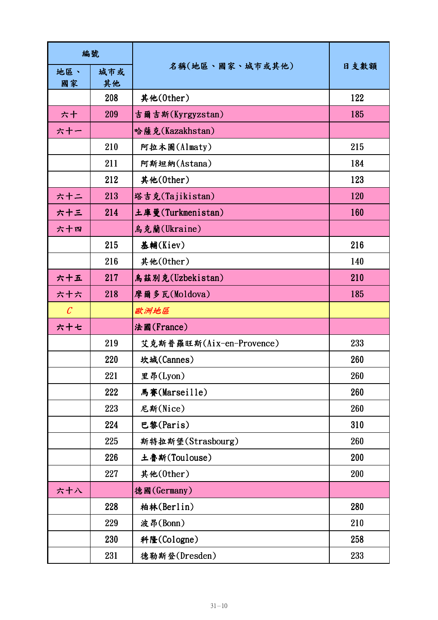| 編號                    |           |                          |      |
|-----------------------|-----------|--------------------------|------|
| 地區、<br>國家             | 城市或<br>其他 | 名稱(地區、國家、城市或其他)          | 日支數額 |
|                       | 208       | 其他(0ther)                | 122  |
| 六十                    | 209       | 吉爾吉斯(Kyrgyzstan)         | 185  |
| 六十一                   |           | 哈薩克(Kazakhstan)          |      |
|                       | 210       | 阿拉木圖(Almaty)             | 215  |
|                       | 211       | 阿斯坦納(Astana)             | 184  |
|                       | 212       | 其他(0ther)                | 123  |
| 六十二                   | 213       | 塔吉克(Tajikistan)          | 120  |
| 六十三                   | 214       | 土庫曼(Turkmenistan)        | 160  |
| 六十四                   |           | 鳥克蘭(Ukraine)             |      |
|                       | 215       | 基輔(Kiev)                 | 216  |
|                       | 216       | 其他(0ther)                | 140  |
| 六十五                   | 217       | 鳥茲別克(Uzbekistan)         | 210  |
| 六十六                   | 218       | 摩爾多瓦(Moldova)            | 185  |
| $\mathcal{C}_{0}^{0}$ |           | 歐洲地區                     |      |
| 六十七                   |           | 法國(France)               |      |
|                       | 219       | 艾克斯普羅旺斯(Aix-en-Provence) | 233  |
|                       | 220       | 坎城(Cannes)               | 260  |
|                       | 221       | 里昂(Lyon)                 | 260  |
|                       | 222       | 馬賽(Marseille)            | 260  |
|                       | 223       | 尼斯(Nice)                 | 260  |
|                       | 224       | 巴黎(Paris)                | 310  |
|                       | 225       | 斯特拉斯堡(Strasbourg)        | 260  |
|                       | 226       | 土魯斯(Toulouse)            | 200  |
|                       | 227       | 其他(0ther)                | 200  |
| 六十八                   |           | 德國(Germany)              |      |
|                       | 228       | 柏林(Berlin)               | 280  |
|                       | 229       | 波昂(Bonn)                 | 210  |
|                       | 230       | 科隆(Cologne)              | 258  |
|                       | 231       | 德勒斯登(Dresden)            | 233  |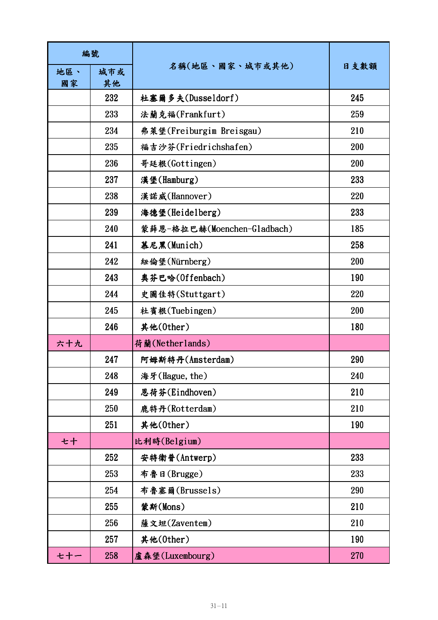| 編號        |           |                             |      |
|-----------|-----------|-----------------------------|------|
| 地區、<br>國家 | 城市或<br>其他 | 名稱(地區、國家、城市或其他)             | 日支數額 |
|           | 232       | 杜塞爾多夫(Dusseldorf)           | 245  |
|           | 233       | 法蘭克福(Frankfurt)             | 259  |
|           | 234       | 弗萊堡(Freiburgim Breisgau)    | 210  |
|           | 235       | 福吉沙芬(Friedrichshafen)       | 200  |
|           | 236       | 哥廷根(Gottingen)              | 200  |
|           | 237       | 漢堡(Hamburg)                 | 233  |
|           | 238       | 漢諾威(Hannover)               | 220  |
|           | 239       | 海德堡(Heidelberg)             | 233  |
|           | 240       | 蒙薛恩-格拉巴赫(Moenchen-Gladbach) | 185  |
|           | 241       | 慕尼黑(Munich)                 | 258  |
|           | 242       | 紐倫堡(Nürnberg)               | 200  |
|           | 243       | 奥芬巴哈(Offenbach)             | 190  |
|           | 244       | 史圖佳特(Stuttgart)             | 220  |
|           | 245       | 杜賓根(Tuebingen)              | 200  |
|           | 246       | 其他(0ther)                   | 180  |
| 六十九       |           | 荷蘭(Netherlands)             |      |
|           | 247       | 阿姆斯特丹(Amsterdam)            | 290  |
|           | 248       | 海牙(Hague, the)              | 240  |
|           | 249       | 恩荷芬(Eindhoven)              | 210  |
|           | 250       | 鹿特丹(Rotterdam)              | 210  |
|           | 251       | 其他(0ther)                   | 190  |
| 七十        |           | 比利時(Belgium)                |      |
|           | 252       | 安特衛普(Antwerp)               | 233  |
|           | 253       | 布魯日(Brugge)                 | 233  |
|           | 254       | 布魯塞爾(Brussels)              | 290  |
|           | 255       | 蒙斯(Mons)                    | 210  |
|           | 256       | 薩文坦(Zaventem)               | 210  |
|           | 257       | 其他(0ther)                   | 190  |
| セ十ー       | 258       | 盧森堡(Luxembourg)             | 270  |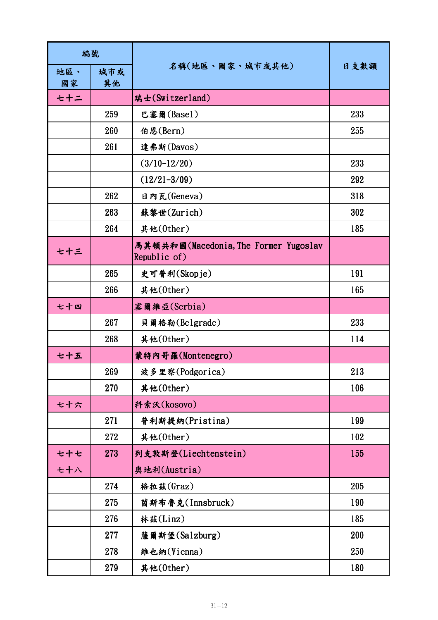| 編號        |           |                                                       |      |
|-----------|-----------|-------------------------------------------------------|------|
| 地區、<br>國家 | 城市或<br>其他 | 名稱(地區、國家、城市或其他)                                       | 日支數額 |
| セ十ニ       |           | 瑞士(Switzerland)                                       |      |
|           | 259       | 巴塞爾(Basel)                                            | 233  |
|           | 260       | 伯恩(Bern)                                              | 255  |
|           | 261       | 達弗斯(Davos)                                            |      |
|           |           | $(3/10-12/20)$                                        | 233  |
|           |           | $(12/21 - 3/09)$                                      | 292  |
|           | 262       | 日内瓦(Geneva)                                           | 318  |
|           | 263       | 蘇黎世(Zurich)                                           | 302  |
|           | 264       | 其他(0ther)                                             | 185  |
| 七十三       |           | 馬其頓共和國(Macedonia, The Former Yugoslav<br>Republic of) |      |
|           | 265       | 史可普利(Skopje)                                          | 191  |
|           | 266       | 其他(0ther)                                             | 165  |
| 七十四       |           | 塞爾維亞(Serbia)                                          |      |
|           | 267       | 貝爾格勒(Belgrade)                                        | 233  |
|           | 268       | 其他(0ther)                                             | 114  |
| 七十五       |           | 蒙特內哥羅(Montenegro)                                     |      |
|           | 269       | 波多里察(Podgorica)                                       | 213  |
|           | 270       | 其他(0ther)                                             | 106  |
| 七十六       |           | 科索沃(kosovo)                                           |      |
|           | 271       | 普利斯提納(Pristina)                                       | 199  |
|           | 272       | 其他(0ther)                                             | 102  |
| セ十セ       | 273       | 列支敦斯登(Liechtenstein)                                  | 155  |
| 七十八       |           | 奥地利(Austria)                                          |      |
|           | 274       | 格拉茲(Graz)                                             | 205  |
|           | 275       | 茵斯布魯克(Innsbruck)                                      | 190  |
|           | 276       | 林茲(Linz)                                              | 185  |
|           | 277       | 薩爾斯堡(Salzburg)                                        | 200  |
|           | 278       | 維也納(Vienna)                                           | 250  |
|           | 279       | 其他(0ther)                                             | 180  |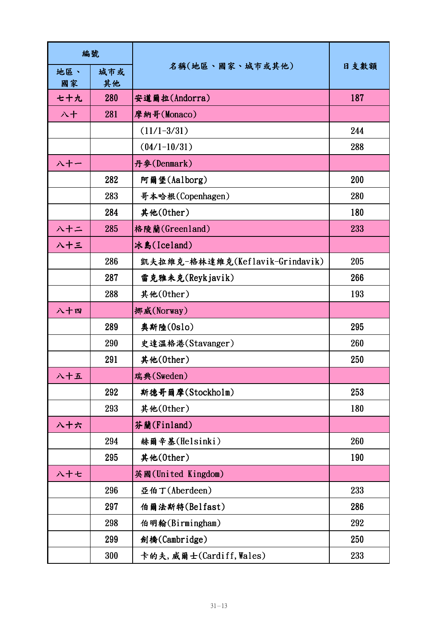| 編號        |           |                                 |      |
|-----------|-----------|---------------------------------|------|
| 地區、<br>國家 | 城市或<br>其他 | 名稱(地區、國家、城市或其他)                 | 日支數額 |
| 七十九       | 280       | 安道爾拉(Andorra)                   | 187  |
| 八十        | 281       | 摩納哥(Monaco)                     |      |
|           |           | $(11/1 - 3/31)$                 | 244  |
|           |           | $(04/1 - 10/31)$                | 288  |
| 入十一       |           | 丹參(Denmark)                     |      |
|           | 282       | 阿爾堡(Aalborg)                    | 200  |
|           | 283       | 哥本哈根(Copenhagen)                | 280  |
|           | 284       | 其他(0ther)                       | 180  |
| ハ十ニ       | 285       | 格陵蘭(Greenland)                  | 233  |
| 八十三       |           | 冰島(Iceland)                     |      |
|           | 286       | 凱夫拉維克-格林達維克(Keflavik-Grindavik) | 205  |
|           | 287       | 雷克雅未克(Reykjavik)                | 266  |
|           | 288       | 其他(0ther)                       | 193  |
| 八十四       |           | 挪威(Norway)                      |      |
|           | 289       | 奥斯陸(0slo)                       | 295  |
|           | 290       | 史達溫格港(Stavanger)                | 260  |
|           | 291       | 其他(0ther)                       | 250  |
| 八十五       |           | 瑞典(Sweden)                      |      |
|           | 292       | 斯德哥爾摩(Stockholm)                | 253  |
|           | 293       | 其他(0ther)                       | 180  |
| 八十六       |           | 芬蘭(Finland)                     |      |
|           | 294       | 赫爾辛基(Helsinki)                  | 260  |
|           | 295       | 其他(0ther)                       | 190  |
| 八十七       |           | 英國(United Kingdom)              |      |
|           | 296       | 亞伯丁(Aberdeen)                   | 233  |
|           | 297       | 伯爾法斯特(Belfast)                  | 286  |
|           | 298       | 伯明翰(Birmingham)                 | 292  |
|           | 299       | 劍橋(Cambridge)                   | 250  |
|           | 300       | 卡的夫,威爾士(Cardiff, Wales)         | 233  |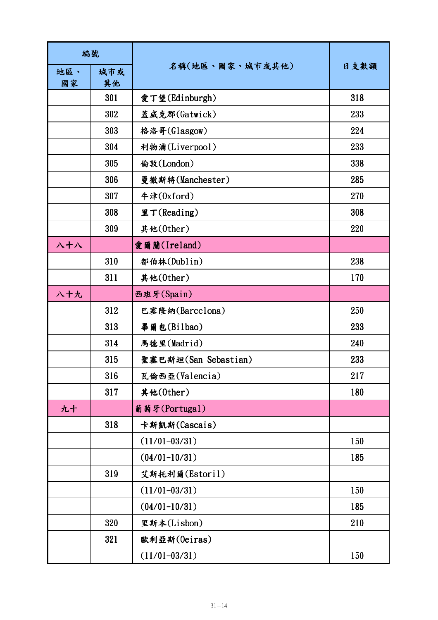| 編號        |           |                      |      |
|-----------|-----------|----------------------|------|
| 地區、<br>國家 | 城市或<br>其他 | 名稱(地區、國家、城市或其他)      | 日支數額 |
|           | 301       | 愛丁堡(Edinburgh)       | 318  |
|           | 302       | 蓋威克郡(Gatwick)        | 233  |
|           | 303       | 格洛哥(Glasgow)         | 224  |
|           | 304       | 利物浦(Liverpool)       | 233  |
|           | 305       | 倫敦(London)           | 338  |
|           | 306       | 曼徹斯特(Manchester)     | 285  |
|           | 307       | 牛津(0xford)           | 270  |
|           | 308       | 里丁(Reading)          | 308  |
|           | 309       | 其他(0ther)            | 220  |
| 入十八       |           | 愛爾蘭(Ireland)         |      |
|           | 310       | 都伯林(Dublin)          | 238  |
|           | 311       | 其他(0ther)            | 170  |
| 八十九       |           | 西班牙(Spain)           |      |
|           | 312       | 巴塞隆納(Barcelona)      | 250  |
|           | 313       | 畢爾包(Bilbao)          | 233  |
|           | 314       | 馬德里(Madrid)          | 240  |
|           | 315       | 聖塞巴斯坦(San Sebastian) | 233  |
|           | 316       | 瓦倫西亞(Valencia)       | 217  |
|           | 317       | 其他(0ther)            | 180  |
| 九十        |           | 葡萄牙(Portugal)        |      |
|           | 318       | 卡斯凱斯(Cascais)        |      |
|           |           | $(11/01 - 03/31)$    | 150  |
|           |           | $(04/01 - 10/31)$    | 185  |
|           | 319       | 艾斯托利爾(Estoril)       |      |
|           |           | $(11/01 - 03/31)$    | 150  |
|           |           | $(04/01 - 10/31)$    | 185  |
|           | 320       | 里斯本(Lisbon)          | 210  |
|           | 321       | 歐利亞斯(Oeiras)         |      |
|           |           | $(11/01 - 03/31)$    | 150  |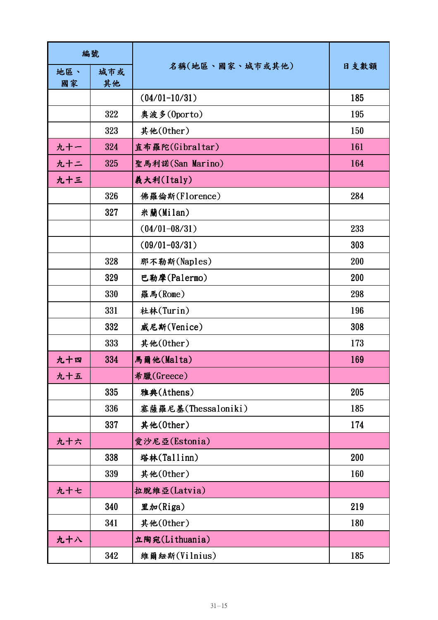| 編號        |           |                     |      |
|-----------|-----------|---------------------|------|
| 地區、<br>國家 | 城市或<br>其他 | 名稱(地區、國家、城市或其他)     | 日支數額 |
|           |           | $(04/01 - 10/31)$   | 185  |
|           | 322       | 奥波多(Oporto)         | 195  |
|           | 323       | 其他(0ther)           | 150  |
| 九十一       | 324       | 直布羅陀(Gibraltar)     | 161  |
| 九十二       | 325       | 聖馬利諾(San Marino)    | 164  |
| 九十三       |           | 義大利(Italy)          |      |
|           | 326       | 佛羅倫斯(Florence)      | 284  |
|           | 327       | 米蘭(Milan)           |      |
|           |           | $(04/01 - 08/31)$   | 233  |
|           |           | $(09/01 - 03/31)$   | 303  |
|           | 328       | 那不勒斯(Naples)        | 200  |
|           | 329       | 巴勒摩(Palermo)        | 200  |
|           | 330       | 羅馬(Rome)            | 298  |
|           | 331       | 杜林(Turin)           | 196  |
|           | 332       | 威尼斯(Venice)         | 308  |
|           | 333       | 其他(0ther)           | 173  |
| 九十四       | 334       | 馬爾他(Malta)          | 169  |
| 九十五       |           | 希臘(Greece)          |      |
|           | 335       | 雅典(Athens)          | 205  |
|           | 336       | 塞薩羅尼基(Thessaloniki) | 185  |
|           | 337       | 其他(0ther)           | 174  |
| 九十六       |           | 愛沙尼亞(Estonia)       |      |
|           | 338       | 塔林(Tallinn)         | 200  |
|           | 339       | 其他(0ther)           | 160  |
| 九十七       |           | 拉脱维亞(Latvia)        |      |
|           | 340       | 里加(Riga)            | 219  |
|           | 341       | 其他(0ther)           | 180  |
| 九十八       |           | 立陶宛(Lithuania)      |      |
|           | 342       | 維爾紐斯(Vilnius)       | 185  |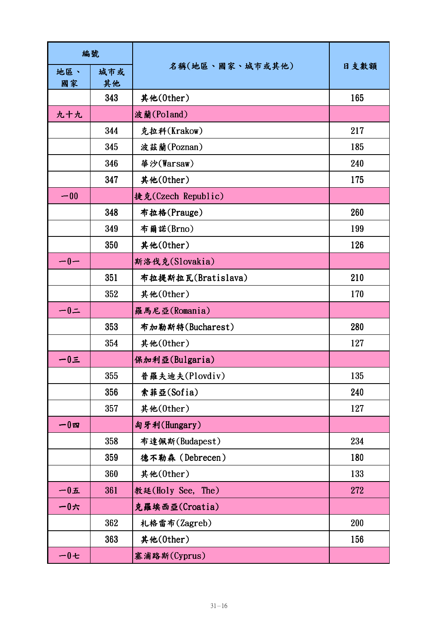| 編號         |           |                    |      |
|------------|-----------|--------------------|------|
| 地區、<br>國家  | 城市或<br>其他 | 名稱(地區、國家、城市或其他)    | 日支數額 |
|            | 343       | 其他(0ther)          | 165  |
| 九十九        |           | 波蘭(Poland)         |      |
|            | 344       | 克拉科(Krakow)        | 217  |
|            | 345       | 波茲蘭(Poznan)        | 185  |
|            | 346       | 華沙(Warsaw)         | 240  |
|            | 347       | 其他(0ther)          | 175  |
| $-00$      |           | 捷克(Czech Republic) |      |
|            | 348       | 布拉格(Prauge)        | 260  |
|            | 349       | 布爾諾(Brno)          | 199  |
|            | 350       | 其他(0ther)          | 126  |
| $-0-$      |           | 斯洛伐克(Slovakia)     |      |
|            | 351       | 布拉提斯拉瓦(Bratislava) | 210  |
|            | 352       | 其他(0ther)          | 170  |
| $-0=$      |           | 羅馬尼亞(Romania)      |      |
|            | 353       | 布加勒斯特(Bucharest)   | 280  |
|            | 354       | 其他(0ther)          | 127  |
| $-0\equiv$ |           | 保加利亞(Bulgaria)     |      |
|            | 355       | 普羅夫迪夫(Plovdiv)     | 135  |
|            | 356       | 索菲亞(Sofia)         | 240  |
|            | 357       | 其他(0ther)          | 127  |
| 一0四        |           | 匈牙利(Hungary)       |      |
|            | 358       | 布達佩斯(Budapest)     | 234  |
|            | 359       | 德不勒森 (Debrecen)    | 180  |
|            | 360       | 其他(0ther)          | 133  |
| $-0$ 五     | 361       | 教廷(Holy See, The)  | 272  |
| 一0六        |           | 克羅埃西亞(Croatia)     |      |
|            | 362       | 札格雷布(Zagreb)       | 200  |
|            | 363       | 其他(0ther)          | 156  |
| 一0七        |           | 塞浦路斯(Cyprus)       |      |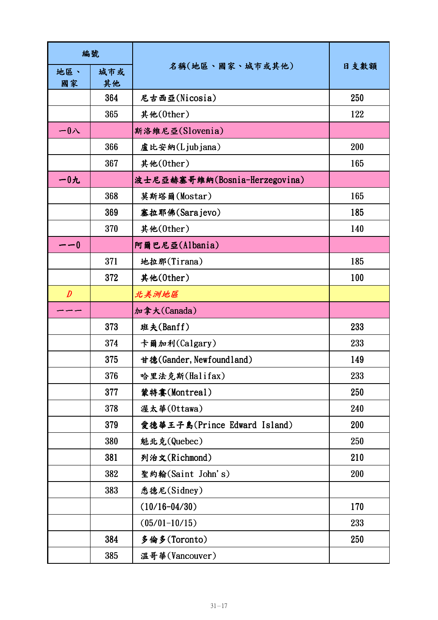| 編號               |           |                               |      |
|------------------|-----------|-------------------------------|------|
| 地區、<br>國家        | 城市或<br>其他 | 名稱(地區、國家、城市或其他)               | 日支數額 |
|                  | 364       | 尼古西亞(Nicosia)                 | 250  |
|                  | 365       | 其他(0ther)                     | 122  |
| $-01$            |           | 斯洛維尼亞(Slovenia)               |      |
|                  | 366       | 盧比安納(Ljubjana)                | 200  |
|                  | 367       | 其他(0ther)                     | 165  |
| $-0$ 九           |           | 波士尼亞赫塞哥維納(Bosnia-Herzegovina) |      |
|                  | 368       | 莫斯塔爾(Mostar)                  | 165  |
|                  | 369       | 塞拉耶佛(Sarajevo)                | 185  |
|                  | 370       | 其他(0ther)                     | 140  |
| --0              |           | 阿爾巴尼亞(Albania)                |      |
|                  | 371       | 地拉那(Tirana)                   | 185  |
|                  | 372       | 其他(0ther)                     | 100  |
| $\boldsymbol{D}$ |           | 北美洲地區                         |      |
|                  |           | 加拿大(Canada)                   |      |
|                  | 373       | 班夫(Banff)                     | 233  |
|                  | 374       | 卡爾加利(Calgary)                 | 233  |
|                  | 375       | 甘德(Gander, Newfoundland)      | 149  |
|                  | 376       | 哈里法克斯(Halifax)                | 233  |
|                  | 377       | 蒙特婁(Montreal)                 | 250  |
|                  | 378       | 渥太華(Ottawa)                   | 240  |
|                  | 379       | 愛德華王子島(Prince Edward Island)  | 200  |
|                  | 380       | 魁北克(Quebec)                   | 250  |
|                  | 381       | 列治文(Richmond)                 | 210  |
|                  | 382       | 聖約翰(Saint John's)             | 200  |
|                  | 383       | 悉德尼(Sidney)                   |      |
|                  |           | $(10/16 - 04/30)$             | 170  |
|                  |           | $(05/01 - 10/15)$             | 233  |
|                  | 384       | 多倫多(Toronto)                  | 250  |
|                  | 385       | 溫哥華(Vancouver)                |      |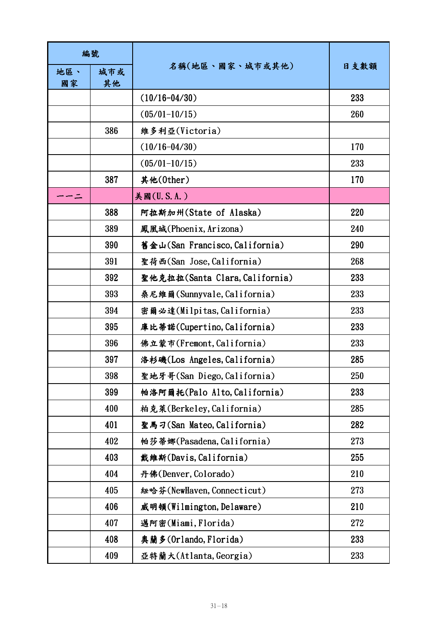| 編號        |           |                                |      |
|-----------|-----------|--------------------------------|------|
| 地區、<br>國家 | 城市或<br>其他 | 名稱(地區、國家、城市或其他)                | 日支數額 |
|           |           | $(10/16 - 04/30)$              | 233  |
|           |           | $(05/01 - 10/15)$              | 260  |
|           | 386       | 維多利亞(Victoria)                 |      |
|           |           | $(10/16 - 04/30)$              | 170  |
|           |           | $(05/01 - 10/15)$              | 233  |
|           | 387       | 其他(0ther)                      | 170  |
|           |           | 美國(U.S.A.)                     |      |
|           | 388       | 阿拉斯加州(State of Alaska)         | 220  |
|           | 389       | 鳳凰城(Phoenix, Arizona)          | 240  |
|           | 390       | 舊金山(San Francisco, California) | 290  |
|           | 391       | 聖荷西(San Jose, California)      | 268  |
|           | 392       | 聖他克拉拉(Santa Clara, California) | 233  |
|           | 393       | 桑尼維爾(Sunnyvale, California)    | 233  |
|           | 394       | 密爾必達(Milpitas, California)     | 233  |
|           | 395       | 庫比蒂諾(Cupertino, California)    | 233  |
|           | 396       | 佛立蒙市(Fremont, California)      | 233  |
|           | 397       | 洛杉磯(Los Angeles, California)   | 285  |
|           | 398       | 聖地牙哥(San Diego, California)    | 250  |
|           | 399       | 帕洛阿爾托(Palo Alto, California)   | 233  |
|           | 400       | 柏克萊(Berkeley, California)      | 285  |
|           | 401       | 聖馬刁(San Mateo, California)     | 282  |
|           | 402       | 帕莎蒂娜(Pasadena, California)     | 273  |
|           | 403       | 戴維斯(Davis, California)         | 255  |
|           | 404       | 丹佛(Denver, Colorado)           | 210  |
|           | 405       | 紐哈芬(NewHaven, Connecticut)     | 273  |
|           | 406       | 威明頓(Wilmington, Delaware)      | 210  |
|           | 407       | 邁阿密(Miami, Florida)            | 272  |
|           | 408       | 奥蘭多(Orlando, Florida)          | 233  |
|           | 409       | 亞特蘭大(Atlanta, Georgia)         | 233  |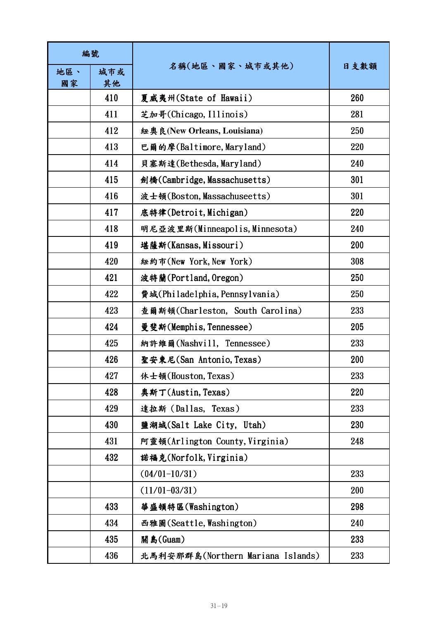| 編號        |           |                                   |      |
|-----------|-----------|-----------------------------------|------|
| 地區、<br>國家 | 城市或<br>其他 | 名稱(地區、國家、城市或其他)                   | 日支數額 |
|           | 410       | 夏威夷州(State of Hawaii)             | 260  |
|           | 411       | 芝加哥(Chicago, Illinois)            | 281  |
|           | 412       | 紐奧良(New Orleans, Louisiana)       | 250  |
|           | 413       | 巴爾的摩(Baltimore, Maryland)         | 220  |
|           | 414       | 貝塞斯達(Bethesda, Maryland)          | 240  |
|           | 415       | 劍橋(Cambridge, Massachusetts)      | 301  |
|           | 416       | 波士頓(Boston, Massachuseetts)       | 301  |
|           | 417       | 底特律(Detroit, Michigan)            | 220  |
|           | 418       | 明尼亞波里斯(Minneapolis, Minnesota)    | 240  |
|           | 419       | 堪薩斯(Kansas, Missouri)             | 200  |
|           | 420       | 紐約市(New York, New York)           | 308  |
|           | 421       | 波特蘭(Portland, Oregon)             | 250  |
|           | 422       | 費城(Philadelphia, Pennsylvania)    | 250  |
|           | 423       | 查爾斯頓(Charleston, South Carolina)  | 233  |
|           | 424       | 曼斐斯(Memphis, Tennessee)           | 205  |
|           | 425       | 納許維爾(Nashvill, Tennessee)         | 233  |
|           | 426       | 聖安東尼(San Antonio, Texas)          | 200  |
|           | 427       | 休士頓(Houston, Texas)               | 233  |
|           | 428       | 奥斯丁(Austin, Texas)                | 220  |
|           | 429       | 達拉斯(Dallas, Texas)                | 233  |
|           | 430       | 鹽湖城(Salt Lake City, Utah)         | 230  |
|           | 431       | 阿靈頓(Arlington County, Virginia)   | 248  |
|           | 432       | 諾福克(Norfolk, Virginia)            |      |
|           |           | $(04/01 - 10/31)$                 | 233  |
|           |           | $(11/01 - 03/31)$                 | 200  |
|           | 433       | 華盛頓特區(Washington)                 | 298  |
|           | 434       | 西雅圖(Seattle, Washington)          | 240  |
|           | 435       | 關島(Guam)                          | 233  |
|           | 436       | 北馬利安那群島(Northern Mariana Islands) | 233  |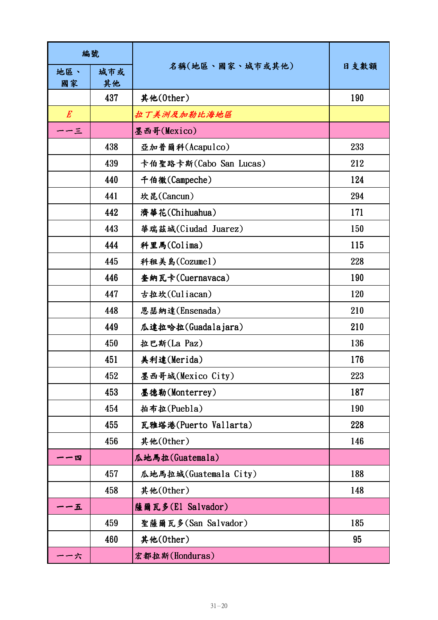| 編號        |           |                        |      |
|-----------|-----------|------------------------|------|
| 地區、<br>國家 | 城市或<br>其他 | 名稱(地區、國家、城市或其他)        | 日支數額 |
|           | 437       | 其他(0ther)              | 190  |
| $E_{\rm}$ |           | 拉丁美洲及加勒比海地區            |      |
| -3        |           | 墨西哥(Mexico)            |      |
|           | 438       | 亞加普爾科(Acapulco)        | 233  |
|           | 439       | 卡伯聖路卡斯(Cabo San Lucas) | 212  |
|           | 440       | 千伯徹(Campeche)          | 124  |
|           | 441       | 坎昆(Cancun)             | 294  |
|           | 442       | 濟華花(Chihuahua)         | 171  |
|           | 443       | 華瑞茲城(Ciudad Juarez)    | 150  |
|           | 444       | 科里馬(Colima)            | 115  |
|           | 445       | 科租美島(Cozumel)          | 228  |
|           | 446       | 奎納瓦卡(Cuernavaca)       | 190  |
|           | 447       | 古拉坎(Culiacan)          | 120  |
|           | 448       | 恩瑟納達(Ensenada)         | 210  |
|           | 449       | 瓜達拉哈拉(Guadalajara)     | 210  |
|           | 450       | 拉巴斯(La Paz)            | 136  |
|           | 451       | 美利達(Merida)            | 176  |
|           | 452       | 墨西哥城(Mexico City)      | 223  |
|           | 453       | 墨德勒(Monterrey)         | 187  |
|           | 454       | 拍布拉(Puebla)            | 190  |
|           | 455       | 瓦雅塔港(Puerto Vallarta)  | 228  |
|           | 456       | 其他(0ther)              | 146  |
| - 四       |           | 瓜地馬拉(Guatemala)        |      |
|           | 457       | 瓜地馬拉城(Guatemala City)  | 188  |
|           | 458       | 其他(0ther)              | 148  |
| 一五        |           | 薩爾瓦多(El Salvador)      |      |
|           | 459       | 聖薩爾瓦多(San Salvador)    | 185  |
|           | 460       | 其他(0ther)              | 95   |
| -六        |           | 宏都拉斯(Honduras)         |      |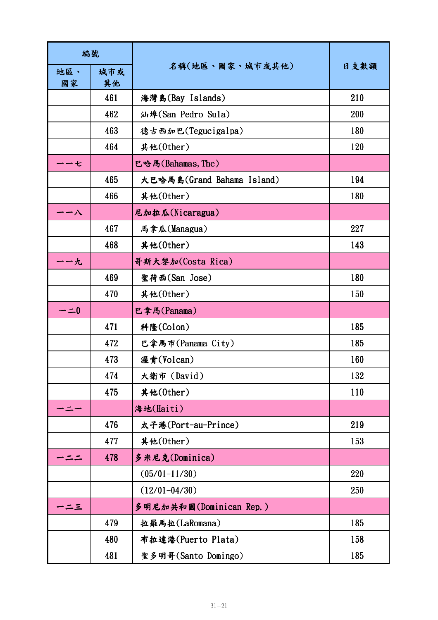| 編號        |           |                            |      |
|-----------|-----------|----------------------------|------|
| 地區、<br>國家 | 城市或<br>其他 | 名稱(地區、國家、城市或其他)            | 日支數額 |
|           | 461       | 海灣島(Bay Islands)           | 210  |
|           | 462       | 汕埠(San Pedro Sula)         | 200  |
|           | 463       | 德古西加巴(Tegucigalpa)         | 180  |
|           | 464       | 其他(0ther)                  | 120  |
| ・七        |           | 巴哈馬(Bahamas, The)          |      |
|           | 465       | 大巴哈馬島(Grand Bahama Island) | 194  |
|           | 466       | 其他(0ther)                  | 180  |
| 一八        |           | 尼加拉瓜(Nicaragua)            |      |
|           | 467       | 馬拿瓜(Managua)               | 227  |
|           | 468       | 其他(0ther)                  | 143  |
| <b>・九</b> |           | 哥斯大黎加(Costa Rica)          |      |
|           | 469       | 聖荷西(San Jose)              | 180  |
|           | 470       | 其他(0ther)                  | 150  |
| $- = 0$   |           | 巴拿馬(Panama)                |      |
|           | 471       | 科隆(Colon)                  | 185  |
|           | 472       | 巴拿馬市(Panama City)          | 185  |
|           | 473       | 渥肯(Volcan)                 | 160  |
|           | 474       | 大衛市 (David)                | 132  |
|           | 475       | 其他(0ther)                  | 110  |
|           |           | 海地(Haiti)                  |      |
|           | 476       | 太子港(Port-au-Prince)        | 219  |
|           | 477       | 其他(0ther)                  | 153  |
|           | 478       | 多米尼克(Dominica)             |      |
|           |           | $(05/01 - 11/30)$          | 220  |
|           |           | $(12/01 - 04/30)$          | 250  |
| ・ニュ       |           | 多明尼加共和國(Dominican Rep.)    |      |
|           | 479       | 拉羅馬拉(LaRomana)             | 185  |
|           | 480       | 布拉達港(Puerto Plata)         | 158  |
|           | 481       | 聖多明哥(Santo Domingo)        | 185  |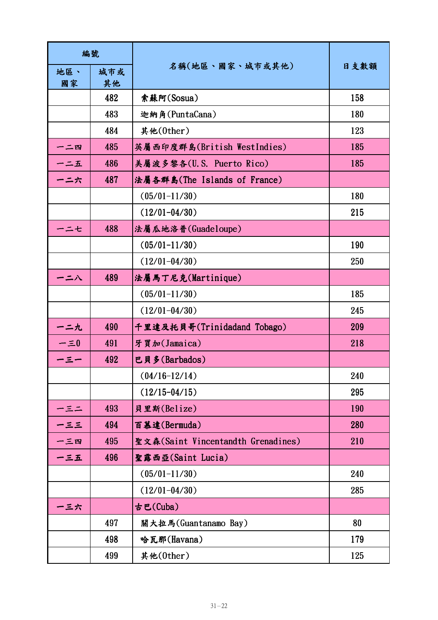| 編號          |           |                                    |      |
|-------------|-----------|------------------------------------|------|
| 地區、<br>國家   | 城市或<br>其他 | 名稱(地區、國家、城市或其他)                    | 日支數額 |
|             | 482       | 索蘇阿(Sosua)                         | 158  |
|             | 483       | 迦納角(PuntaCana)                     | 180  |
|             | 484       | 其他(0ther)                          | 123  |
| 一二四         | 485       | 英屬西印度群島(British WestIndies)        | 185  |
| 一二五         | 486       | 美屬波多黎各(U.S. Puerto Rico)           | 185  |
| ーニ六         | 487       | 法屬各群島(The Islands of France)       |      |
|             |           | $(05/01 - 11/30)$                  | 180  |
|             |           | $(12/01 - 04/30)$                  | 215  |
| ーニセ         | 488       | 法屬瓜地洛普(Guadeloupe)                 |      |
|             |           | $(05/01 - 11/30)$                  | 190  |
|             |           | $(12/01 - 04/30)$                  | 250  |
| 二八          | 489       | 法屬馬丁尼克(Martinique)                 |      |
|             |           | $(05/01 - 11/30)$                  | 185  |
|             |           | $(12/01 - 04/30)$                  | 245  |
| 一二九         | 490       | 千里達及托貝哥(Trinidadand Tobago)        | 209  |
| $-\equiv 0$ | 491       | 牙買加(Jamaica)                       | 218  |
| ー三一         | 492       | 巴貝多(Barbados)                      |      |
|             |           | $(04/16-12/14)$                    | 240  |
|             |           | $(12/15 - 04/15)$                  | 295  |
| ー三二         | 493       | 貝里斯(Belize)                        | 190  |
| $-55$       | 494       | 百慕達(Bermuda)                       | 280  |
| 一三四         | 495       | 聖文森(Saint Vincentandth Grenadines) | 210  |
| 一三五         | 496       | 聖露西亞(Saint Lucia)                  |      |
|             |           | $(05/01 - 11/30)$                  | 240  |
|             |           | $(12/01 - 04/30)$                  | 285  |
| 一三六         |           | 古巴(Cuba)                           |      |
|             | 497       | 關大拉馬(Guantanamo Bay)               | 80   |
|             | 498       | 哈瓦那(Havana)                        | 179  |
|             | 499       | 其他(0ther)                          | 125  |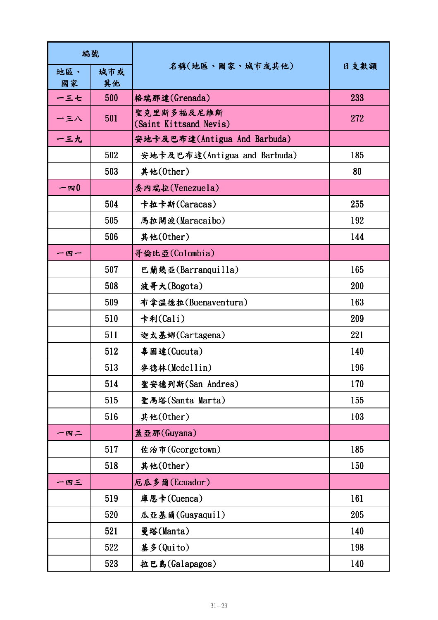| 編號        |           |                                      |      |
|-----------|-----------|--------------------------------------|------|
| 地區、<br>國家 | 城市或<br>其他 | 名稱(地區、國家、城市或其他)                      | 日支數額 |
| 一三七       | 500       | 格瑞那達(Grenada)                        | 233  |
| 一三八       | 501       | 聖克里斯多福及尼維斯<br>(Saint Kittsand Nevis) | 272  |
| 一三九       |           | 安地卡及巴布達(Antigua And Barbuda)         |      |
|           | 502       | 安地卡及巴布達(Antigua and Barbuda)         | 185  |
|           | 503       | 其他(0ther)                            | 80   |
| $-$ 四 $0$ |           | 委內瑞拉(Venezuela)                      |      |
|           | 504       | 卡拉卡斯(Caracas)                        | 255  |
|           | 505       | 馬拉開波(Maracaibo)                      | 192  |
|           | 506       | 其他(0ther)                            | 144  |
| 一四一       |           | 哥倫比亞(Colombia)                       |      |
|           | 507       | 巴蘭幾亞(Barranquilla)                   | 165  |
|           | 508       | 波哥大(Bogota)                          | 200  |
|           | 509       | 布拿溫德拉(Buenaventura)                  | 163  |
|           | 510       | 卡利(Cali)                             | 209  |
|           | 511       | 迦太基娜(Cartagena)                      | 221  |
|           | 512       | 辜固達(Cucuta)                          | 140  |
|           | 513       | 參德林(Medellin)                        | 196  |
|           | 514       | 聖安德列斯(San Andres)                    | 170  |
|           | 515       | 聖馬塔(Santa Marta)                     | 155  |
|           | 516       | 其他(0ther)                            | 103  |
| 一四二       |           | 蓋亞那(Guyana)                          |      |
|           | 517       | 佐治市(Georgetown)                      | 185  |
|           | 518       | 其他(0ther)                            | 150  |
| 一四三       |           | 厄瓜多爾(Ecuador)                        |      |
|           | 519       | 庫恩卡(Cuenca)                          | 161  |
|           | 520       | 瓜亞基爾(Guayaquil)                      | 205  |
|           | 521       | 曼塔(Manta)                            | 140  |
|           | 522       | 基多(Quito)                            | 198  |
|           | 523       | 拉巴島(Galapagos)                       | 140  |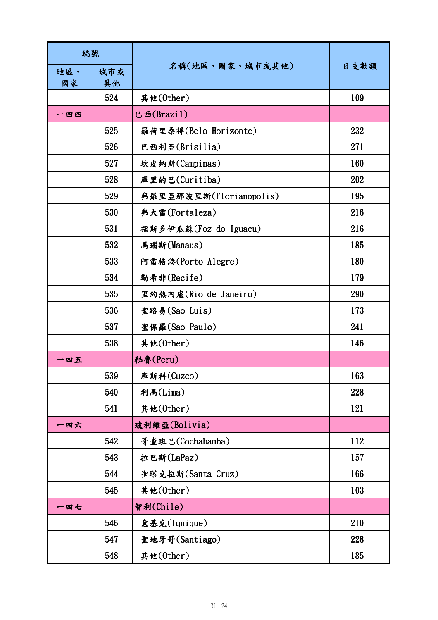| 編號        |           |                         |      |
|-----------|-----------|-------------------------|------|
| 地區、<br>國家 | 城市或<br>其他 | 名稱(地區、國家、城市或其他)         | 日支數額 |
|           | 524       | 其他(0ther)               | 109  |
| 一四四       |           | 巴西(Brazil)              |      |
|           | 525       | 羅荷里桑得(Belo Horizonte)   | 232  |
|           | 526       | 巴西利亞(Brisilia)          | 271  |
|           | 527       | 坎皮納斯(Campinas)          | 160  |
|           | 528       | 庫里的巴(Curitiba)          | 202  |
|           | 529       | 弗羅里亞那波里斯(Florianopolis) | 195  |
|           | 530       | 弗大雷(Fortaleza)          | 216  |
|           | 531       | 福斯多伊瓜蘇(Foz do Iguacu)   | 216  |
|           | 532       | 馬瑙斯(Manaus)             | 185  |
|           | 533       | 阿雷格港(Porto Alegre)      | 180  |
|           | 534       | 勒希非(Recife)             | 179  |
|           | 535       | 里約熱內盧(Rio de Janeiro)   | 290  |
|           | 536       | 聖路易(Sao Luis)           | 173  |
|           | 537       | 聖保羅(Sao Paulo)          | 241  |
|           | 538       | 其他(0ther)               | 146  |
| 一四五       |           | 秘魯(Peru)                |      |
|           | 539       | 庫斯科(Cuzco)              | 163  |
|           | 540       | 利馬(Lima)                | 228  |
|           | 541       | 其他(0ther)               | 121  |
| 一四六       |           | 玻利維亞(Bolivia)           |      |
|           | 542       | 哥查班巴(Cochabamba)        | 112  |
|           | 543       | 拉巴斯(LaPaz)              | 157  |
|           | 544       | 聖塔克拉斯(Santa Cruz)       | 166  |
|           | 545       | 其他(0ther)               | 103  |
| 一四七       |           | 智利(Chile)               |      |
|           | 546       | 意基克(Iquique)            | 210  |
|           | 547       | 聖地牙哥(Santiago)          | 228  |
|           | 548       | 其他(0ther)               | 185  |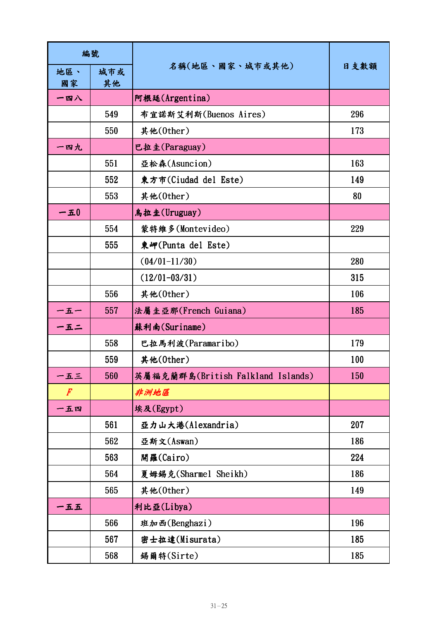| 編號                       |           |                                   |      |
|--------------------------|-----------|-----------------------------------|------|
| 地區、<br>國家                | 城市或<br>其他 | 名稱(地區、國家、城市或其他)                   | 日支數額 |
| 一四八                      |           | 阿根廷(Argentina)                    |      |
|                          | 549       | 布宜諾斯艾利斯(Buenos Aires)             | 296  |
|                          | 550       | 其他(0ther)                         | 173  |
| 一四九                      |           | 巴拉圭(Paraguay)                     |      |
|                          | 551       | 亞松森(Asuncion)                     | 163  |
|                          | 552       | 東方市(Ciudad del Este)              | 149  |
|                          | 553       | 其他(0ther)                         | 80   |
| $-\textbf{\textit{\_}}0$ |           | 烏拉圭(Uruguay)                      |      |
|                          | 554       | 蒙特維多(Montevideo)                  | 229  |
|                          | 555       | 東岬(Punta del Este)                |      |
|                          |           | $(04/01 - 11/30)$                 | 280  |
|                          |           | $(12/01 - 03/31)$                 | 315  |
|                          | 556       | 其他(0ther)                         | 106  |
| 一五一                      | 557       | 法屬圭亞那(French Guiana)              | 185  |
| 一五二                      |           | 蘇利南(Suriname)                     |      |
|                          | 558       | 巴拉馬利波(Paramaribo)                 | 179  |
|                          | 559       | 其他(0ther)                         | 100  |
| 一五三                      | 560       | 英屬福克蘭群島(British Falkland Islands) | 150  |
| F                        |           | 非洲地區                              |      |
| 一五四                      |           | 埃及(Egypt)                         |      |
|                          | 561       | 亞力山大港(Alexandria)                 | 207  |
|                          | 562       | 亞斯文(Aswan)                        | 186  |
|                          | 563       | 開羅(Cairo)                         | 224  |
|                          | 564       | 夏姆錫克(Sharmel Sheikh)              | 186  |
|                          | 565       | 其他(0ther)                         | 149  |
| 一五五                      |           | 利比亞(Libya)                        |      |
|                          | 566       | 班加西(Benghazi)                     | 196  |
|                          | 567       | 密士拉達(Misurata)                    | 185  |
|                          | 568       | 錫爾特(Sirte)                        | 185  |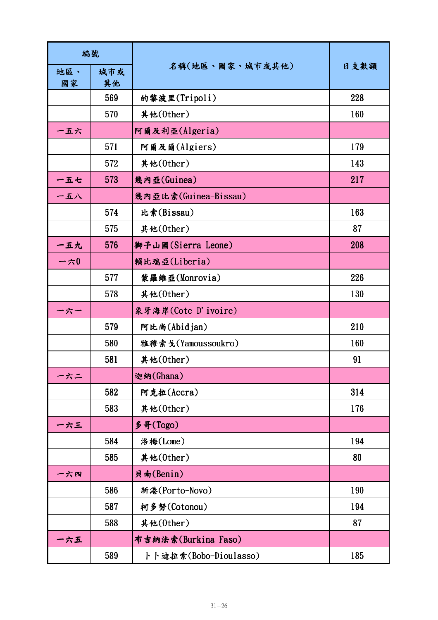| 編號        |           |                       |      |
|-----------|-----------|-----------------------|------|
| 地區、<br>國家 | 城市或<br>其他 | 名稱(地區、國家、城市或其他)       | 日支數額 |
|           | 569       | 的黎波里(Tripoli)         | 228  |
|           | 570       | 其他(0ther)             | 160  |
| 一五六       |           | 阿爾及利亞(Algeria)        |      |
|           | 571       | 阿爾及爾(Algiers)         | 179  |
|           | 572       | 其他(0ther)             | 143  |
| 一五七       | 573       | 幾內亞(Guinea)           | 217  |
| 一五八       |           | 幾內亞比索(Guinea-Bissau)  |      |
|           | 574       | 比索(Bissau)            | 163  |
|           | 575       | 其他(0ther)             | 87   |
| 一五九       | 576       | 獅子山國(Sierra Leone)    | 208  |
| 一六 $0$    |           | 賴比瑞亞(Liberia)         |      |
|           | 577       | 蒙羅維亞(Monrovia)        | 226  |
|           | 578       | 其他(0ther)             | 130  |
| 一六一       |           | 象牙海岸(Cote D'ivoire)   |      |
|           | 579       | 阿比尚(Abidjan)          | 210  |
|           | 580       | 雅穆索戈(Yamoussoukro)    | 160  |
|           | 581       | 其他(0ther)             | 91   |
| -六二       |           | 迦納(Ghana)             |      |
|           | 582       | 阿克拉(Accra)            | 314  |
|           | 583       | 其他(0ther)             | 176  |
| 一六三       |           | 多哥(Togo)              |      |
|           | 584       | 洛梅(Lome)              | 194  |
|           | 585       | 其他(0ther)             | 80   |
| 一六四       |           | 貝南(Benin)             |      |
|           | 586       | 新港(Porto-Novo)        | 190  |
|           | 587       | 柯多努(Cotonou)          | 194  |
|           | 588       | 其他(0ther)             | 87   |
| -六五       |           | 布吉納法索(Burkina Faso)   |      |
|           | 589       | トト迪拉索(Bobo-Dioulasso) | 185  |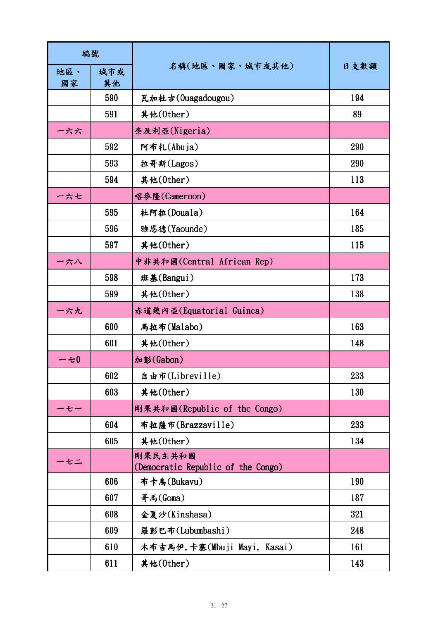| 編號        |           |                                               |      |
|-----------|-----------|-----------------------------------------------|------|
| 地區、<br>國家 | 城市或<br>其他 | 名稱(地區、國家、城市或其他)                               | 日支數額 |
|           | 590       | 瓦加杜古(Ouagadougou)                             | 194  |
|           | 591       | 其他(0ther)                                     | 89   |
| 一六六       |           | 奈及利亞(Nigeria)                                 |      |
|           | 592       | 阿布札(Abuja)                                    | 290  |
|           | 593       | 拉哥斯(Lagos)                                    | 290  |
|           | 594       | 其他(0ther)                                     | 113  |
| ー六七       |           | 喀參隆(Cameroon)                                 |      |
|           | 595       | 杜阿拉(Douala)                                   | 164  |
|           | 596       | 雅恩德(Yaounde)                                  | 185  |
|           | 597       | 其他(0ther)                                     | 115  |
| 一六八       |           | 中非共和國(Central African Rep)                    |      |
|           | 598       | 班基(Bangui)                                    | 173  |
|           | 599       | 其他(0ther)                                     | 138  |
| 一六九       |           | 赤道幾內亞(Equatorial Guinea)                      |      |
|           | 600       | 馬拉布(Malabo)                                   | 163  |
|           | 601       | 其他(0ther)                                     | 148  |
| 一七 $0$    |           | 加彭(Gabon)                                     |      |
|           | 602       | 自由市(Libreville)                               | 233  |
|           | 603       | 其他(0ther)                                     | 130  |
| ーセー       |           | 剛果共和國(Republic of the Congo)                  |      |
|           | 604       | 布拉薩市(Brazzaville)                             | 233  |
|           | 605       | 其他(0ther)                                     | 134  |
| ・セニ       |           | 剛果民主共和國<br>(Democratic Republic of the Congo) |      |
|           | 606       | 布卡烏(Bukavu)                                   | 190  |
|           | 607       | 哥馬(Goma)                                      | 187  |
|           | 608       | 金夏沙(Kinshasa)                                 | 321  |
|           | 609       | 羅彭巴布(Lubumbashi)                              | 248  |
|           | 610       | 木布吉馬伊,卡塞(Mbuji Mayi, Kasai)                   | 161  |
|           | 611       | 其他(0ther)                                     | 143  |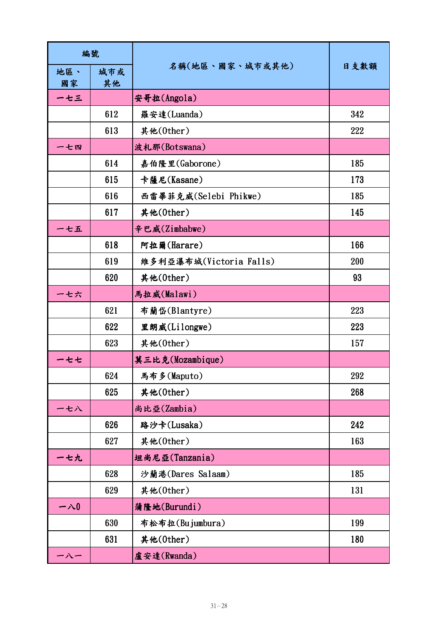| 編號         |           |                         |      |
|------------|-----------|-------------------------|------|
| 地區、<br>國家  | 城市或<br>其他 | 名稱(地區、國家、城市或其他)         | 日支數額 |
| ーセ三        |           | 安哥拉(Angola)             |      |
|            | 612       | 羅安達(Luanda)             | 342  |
|            | 613       | 其他(0ther)               | 222  |
| 一七四        |           | 波札那(Botswana)           |      |
|            | 614       | 嘉伯隆里(Gaborone)          | 185  |
|            | 615       | 卡薩尼(Kasane)             | 173  |
|            | 616       | 西雷畢菲克威(Selebi Phikwe)   | 185  |
|            | 617       | 其他(0ther)               | 145  |
| 一七五        |           | 辛巴威(Zimbabwe)           |      |
|            | 618       | 阿拉爾(Harare)             | 166  |
|            | 619       | 維多利亞瀑布城(Victoria Falls) | 200  |
|            | 620       | 其他(0ther)               | 93   |
| - 七六       |           | 馬拉威(Malawi)             |      |
|            | 621       | 布蘭岱(Blantyre)           | 223  |
|            | 622       | 里朗威(Lilongwe)           | 223  |
|            | 623       | 其他(0ther)               | 157  |
| ー七七        |           | 莫三比克(Mozambique)        |      |
|            | 624       | 馬布多(Maputo)             | 292  |
|            | 625       | 其他(0ther)               | 268  |
| ー七八        |           | 尚比亞(Zambia)             |      |
|            | 626       | 路沙卡(Lusaka)             | 242  |
|            | 627       | 其他(0ther)               | 163  |
| <b>-七九</b> |           | 坦尚尼亞(Tanzania)          |      |
|            | 628       | 沙蘭港(Dares Salaam)       | 185  |
|            | 629       | 其他(0ther)               | 131  |
| 一八0        |           | 蒲隆地(Burundi)            |      |
|            | 630       | 布松布拉(Bujumbura)         | 199  |
|            | 631       | 其他(0ther)               | 180  |
| ー八一        |           | 盧安達(Rwanda)             |      |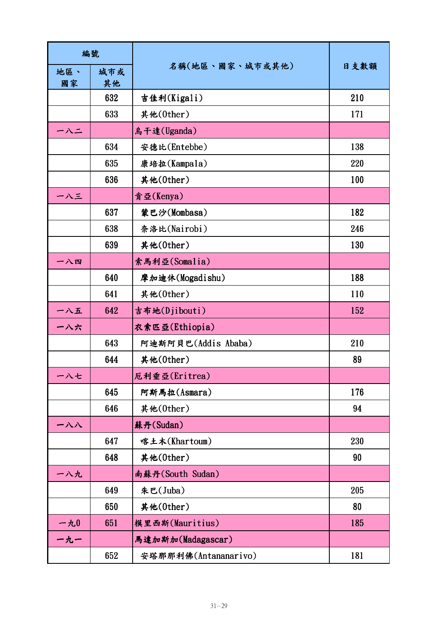| 編號        |           |                      |      |
|-----------|-----------|----------------------|------|
| 地區、<br>國家 | 城市或<br>其他 | 名稱(地區、國家、城市或其他)      | 日支數額 |
|           | 632       | 吉佳利(Kigali)          | 210  |
|           | 633       | 其他(0ther)            | 171  |
| ーハニ       |           | 烏干達(Uganda)          |      |
|           | 634       | 安德比(Entebbe)         | 138  |
|           | 635       | 康培拉(Kampala)         | 220  |
|           | 636       | 其他(0ther)            | 100  |
| 一八三       |           | 肯亞(Kenya)            |      |
|           | 637       | 蒙巴沙(Mombasa)         | 182  |
|           | 638       | 奈洛比(Nairobi)         | 246  |
|           | 639       | 其他(0ther)            | 130  |
| 一八四       |           | 索馬利亞(Somalia)        |      |
|           | 640       | 摩加迪休(Mogadishu)      | 188  |
|           | 641       | 其他(0ther)            | 110  |
| 一八五       | 642       | 吉布地(Djibouti)        | 152  |
| 一八六       |           | 衣索匹亞(Ethiopia)       |      |
|           | 643       | 阿迪斯阿貝巴(Addis Ababa)  | 210  |
|           | 644       | 其他(0ther)            | 89   |
| ー八七       |           | 厄利垂亞(Eritrea)        |      |
|           | 645       | 阿斯馬拉(Asmara)         | 176  |
|           | 646       | 其他(0ther)            | 94   |
| 一八八       |           | 蘇丹(Sudan)            |      |
|           | 647       | 喀土木(Khartoum)        | 230  |
|           | 648       | 其他(0ther)            | 90   |
| 一八九       |           | 南蘇丹(South Sudan)     |      |
|           | 649       | 朱巴(Juba)             | 205  |
|           | 650       | 其他(0ther)            | 80   |
| 一九0       | 651       | 模里西斯(Mauritius)      | 185  |
| 一九一       |           | 馬達加斯加(Madagascar)    |      |
|           | 652       | 安塔那那利佛(Antananarivo) | 181  |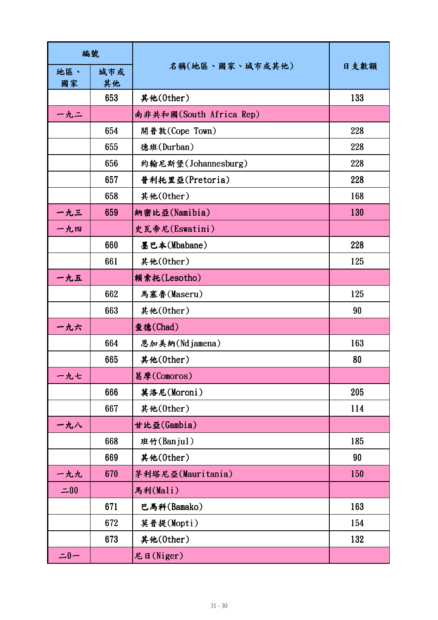| 編號        |           |                         |      |
|-----------|-----------|-------------------------|------|
| 地區、<br>國家 | 城市或<br>其他 | 名稱(地區、國家、城市或其他)         | 日支數額 |
|           | 653       | 其他(0ther)               | 133  |
| 一九二       |           | 南非共和國(South Africa Rep) |      |
|           | 654       | 開普敦(Cope Town)          | 228  |
|           | 655       | 德班(Durban)              | 228  |
|           | 656       | 約翰尼斯堡(Johannesburg)     | 228  |
|           | 657       | 普利托里亞(Pretoria)         | 228  |
|           | 658       | 其他(0ther)               | 168  |
| 一九三       | 659       | 納密比亞(Namibia)           | 130  |
| 一九四       |           | 史瓦帝尼(Eswatini)          |      |
|           | 660       | 墨巴本(Mbabane)            | 228  |
|           | 661       | 其他(0ther)               | 125  |
| 一九五       |           | 賴索托(Lesotho)            |      |
|           | 662       | 馬塞魯(Maseru)             | 125  |
|           | 663       | 其他(0ther)               | 90   |
| 一九六       |           | 查德(Chad)                |      |
|           | 664       | 恩加美納(Ndjamena)          | 163  |
|           | 665       | 其他(0ther)               | 80   |
| 一九七       |           | 葛摩(Comoros)             |      |
|           | 666       | 莫洛尼(Moroni)             | 205  |
|           | 667       | 其他(0ther)               | 114  |
| 一九八       |           | 甘比亞(Gambia)             |      |
|           | 668       | 班竹(Banjul)              | 185  |
|           | 669       | 其他(0ther)               | 90   |
| 一九九       | 670       | 茅利塔尼亞(Mauritania)       | 150  |
| $=00$     |           | 馬利(Mali)                |      |
|           | 671       | 巴馬科(Bamako)             | 163  |
|           | 672       | 莫普提(Mopti)              | 154  |
|           | 673       | 其他(0ther)               | 132  |
| $=0-$     |           | 尼日(Niger)               |      |